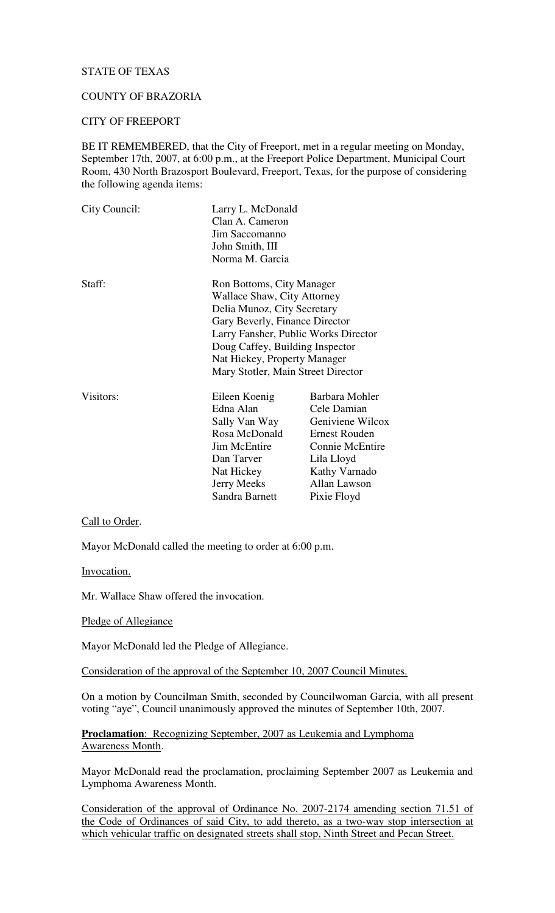# STATE OF TEXAS

# COUNTY OF BRAZORIA

### CITY OF FREEPORT

BE IT REMEMBERED, that the City of Freeport, met in a regular meeting on Monday, September 17th, 2007, at 6:00 p.m., at the Freeport Police Department, Municipal Court Room, 430 North Brazosport Boulevard, Freeport, Texas, for the purpose of considering the following agenda items:

| City Council: | Larry L. McDonald<br>Clan A. Cameron<br>Jim Saccomanno<br>John Smith, III<br>Norma M. Garcia                                                                                                                                                                               |                                                                                                                                                            |
|---------------|----------------------------------------------------------------------------------------------------------------------------------------------------------------------------------------------------------------------------------------------------------------------------|------------------------------------------------------------------------------------------------------------------------------------------------------------|
| Staff:        | Ron Bottoms, City Manager<br>Wallace Shaw, City Attorney<br>Delia Munoz, City Secretary<br>Gary Beverly, Finance Director<br>Larry Fansher, Public Works Director<br>Doug Caffey, Building Inspector<br>Nat Hickey, Property Manager<br>Mary Stotler, Main Street Director |                                                                                                                                                            |
| Visitors:     | Eileen Koenig<br>Edna Alan<br>Sally Van Way<br>Rosa McDonald<br><b>Jim McEntire</b><br>Dan Tarver<br>Nat Hickey<br><b>Jerry Meeks</b><br>Sandra Barnett                                                                                                                    | Barbara Mohler<br>Cele Damian<br>Geniviene Wilcox<br><b>Ernest Rouden</b><br>Connie McEntire<br>Lila Lloyd<br>Kathy Varnado<br>Allan Lawson<br>Pixie Floyd |

### Call to Order.

Mayor McDonald called the meeting to order at 6:00 p.m.

Invocation.

Mr. Wallace Shaw offered the invocation.

#### Pledge of Allegiance

Mayor McDonald led the Pledge of Allegiance.

Consideration of the approval of the September 10, 2007 Council Minutes.

On a motion by Councilman Smith, seconded by Councilwoman Garcia, with all present voting "aye", Council unanimously approved the minutes of September 10th, 2007.

# **Proclamation**: Recognizing September, 2007 as Leukemia and Lymphoma Awareness Month.

Mayor McDonald read the proclamation, proclaiming September 2007 as Leukemia and Lymphoma Awareness Month.

Consideration of the approval of Ordinance No. 2007-2174 amending section 71.51 of the Code of Ordinances of said City, to add thereto, as a two-way stop intersection at which vehicular traffic on designated streets shall stop, Ninth Street and Pecan Street.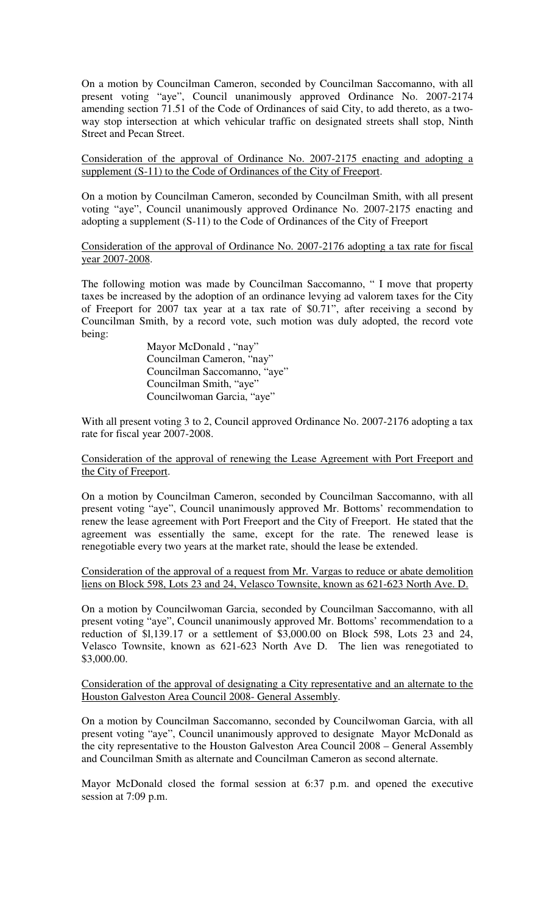On a motion by Councilman Cameron, seconded by Councilman Saccomanno, with all present voting "aye", Council unanimously approved Ordinance No. 2007-2174 amending section 71.51 of the Code of Ordinances of said City, to add thereto, as a twoway stop intersection at which vehicular traffic on designated streets shall stop, Ninth Street and Pecan Street.

Consideration of the approval of Ordinance No. 2007-2175 enacting and adopting a supplement (S-11) to the Code of Ordinances of the City of Freeport.

On a motion by Councilman Cameron, seconded by Councilman Smith, with all present voting "aye", Council unanimously approved Ordinance No. 2007-2175 enacting and adopting a supplement (S-11) to the Code of Ordinances of the City of Freeport

Consideration of the approval of Ordinance No. 2007-2176 adopting a tax rate for fiscal year 2007-2008.

The following motion was made by Councilman Saccomanno, " I move that property taxes be increased by the adoption of an ordinance levying ad valorem taxes for the City of Freeport for 2007 tax year at a tax rate of \$0.71", after receiving a second by Councilman Smith, by a record vote, such motion was duly adopted, the record vote being:

> Mayor McDonald, "nay" Councilman Cameron, "nay" Councilman Saccomanno, "aye" Councilman Smith, "aye" Councilwoman Garcia, "aye"

With all present voting 3 to 2, Council approved Ordinance No. 2007-2176 adopting a tax rate for fiscal year 2007-2008.

Consideration of the approval of renewing the Lease Agreement with Port Freeport and the City of Freeport.

On a motion by Councilman Cameron, seconded by Councilman Saccomanno, with all present voting "aye", Council unanimously approved Mr. Bottoms' recommendation to renew the lease agreement with Port Freeport and the City of Freeport. He stated that the agreement was essentially the same, except for the rate. The renewed lease is renegotiable every two years at the market rate, should the lease be extended.

Consideration of the approval of a request from Mr. Vargas to reduce or abate demolition liens on Block 598, Lots 23 and 24, Velasco Townsite, known as 621-623 North Ave. D.

On a motion by Councilwoman Garcia, seconded by Councilman Saccomanno, with all present voting "aye", Council unanimously approved Mr. Bottoms' recommendation to a reduction of \$l,139.17 or a settlement of \$3,000.00 on Block 598, Lots 23 and 24, Velasco Townsite, known as 621-623 North Ave D. The lien was renegotiated to \$3,000.00.

Consideration of the approval of designating a City representative and an alternate to the Houston Galveston Area Council 2008- General Assembly.

On a motion by Councilman Saccomanno, seconded by Councilwoman Garcia, with all present voting "aye", Council unanimously approved to designate Mayor McDonald as the city representative to the Houston Galveston Area Council 2008 – General Assembly and Councilman Smith as alternate and Councilman Cameron as second alternate.

Mayor McDonald closed the formal session at 6:37 p.m. and opened the executive session at 7:09 p.m.